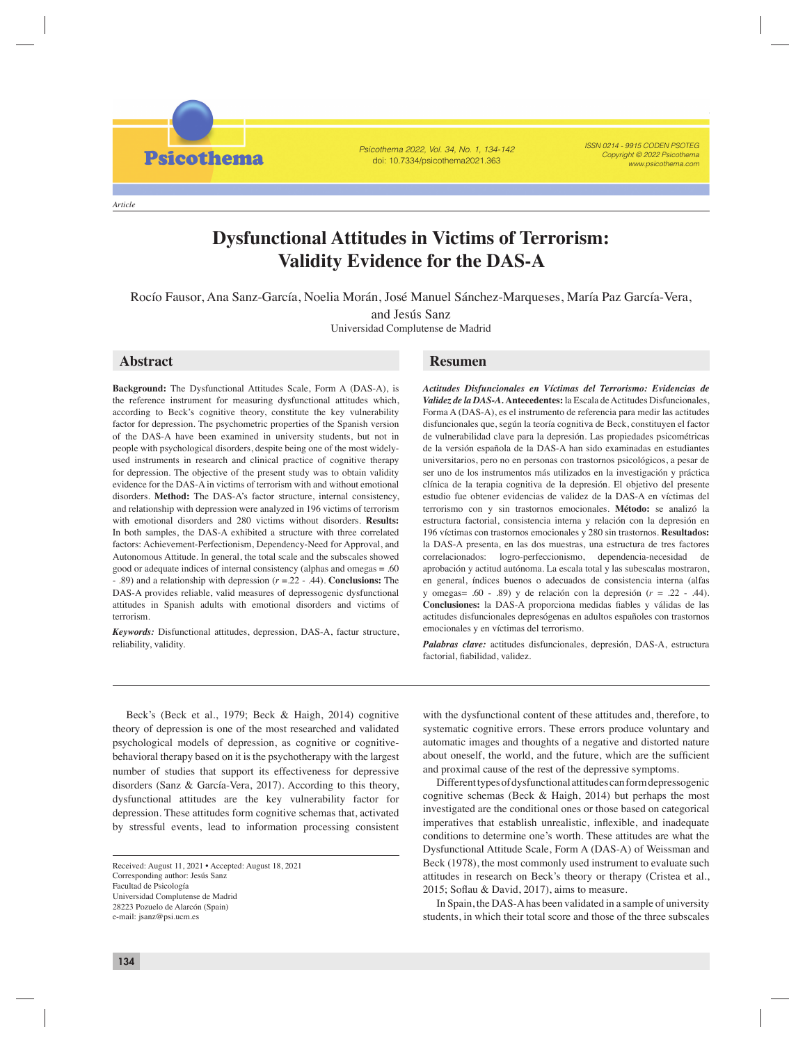Psicothema 2022, Vol. 34, No. 1, 134-142 doi: 10.7334/psicothema2021.363

ISSN 0214 - 9915 CODEN PSOTEG Copyright © 2022 Psicothema www.psicothema.com

*Article*

**Psicothema** 

# **Dysfunctional Attitudes in Victims of Terrorism: Validity Evidence for the DAS-A**

Rocío Fausor, Ana Sanz-García, Noelia Morán, José Manuel Sánchez-Marqueses, María Paz García-Vera, and Jesús Sanz

Rocío Fausor, Ana Sanz-García, Noelia Morán, José Manuel Sánchez-Marqueses, María Paz García-Vera,

and Jesús Sanz

Universidad Complutense de Madrid

**Background:** The Dysfunctional Attitudes Scale, Form A (DAS-A), is the reference instrument for measuring dysfunctional attitudes which, according to Beck's cognitive theory, constitute the key vulnerability factor for depression. The psychometric properties of the Spanish version of the DAS-A have been examined in university students, but not in people with psychological disorders, despite being one of the most widelyused instruments in research and clinical practice of cognitive therapy for depression. The objective of the present study was to obtain validity evidence for the DAS-A in victims of terrorism with and without emotional disorders. **Method:** The DAS-A's factor structure, internal consistency, and relationship with depression were analyzed in 196 victims of terrorism with emotional disorders and 280 victims without disorders. **Results:**  In both samples, the DAS-A exhibited a structure with three correlated factors: Achievement-Perfectionism, Dependency-Need for Approval, and Autonomous Attitude. In general, the total scale and the subscales showed good or adequate indices of internal consistency (alphas and omegas = .60 - .89) and a relationship with depression (*r* =.22 - .44). **Conclusions:** The DAS-A provides reliable, valid measures of depressogenic dysfunctional attitudes in Spanish adults with emotional disorders and victims of terrorism.

*Keywords:* Disfunctional attitudes, depression, DAS-A, factur structure, reliability, validity.

## **Abstract Resumen**

*Actitudes Disfuncionales en Víctimas del Terrorismo: Evidencias de Validez de la DAS-A.* **Antecedentes:** la Escala de Actitudes Disfuncionales, Forma A (DAS-A), es el instrumento de referencia para medir las actitudes disfuncionales que, según la teoría cognitiva de Beck, constituyen el factor de vulnerabilidad clave para la depresión. Las propiedades psicométricas de la versión española de la DAS-A han sido examinadas en estudiantes universitarios, pero no en personas con trastornos psicológicos, a pesar de ser uno de los instrumentos más utilizados en la investigación y práctica clínica de la terapia cognitiva de la depresión. El objetivo del presente estudio fue obtener evidencias de validez de la DAS-A en víctimas del terrorismo con y sin trastornos emocionales. **Método:** se analizó la estructura factorial, consistencia interna y relación con la depresión en 196 víctimas con trastornos emocionales y 280 sin trastornos. **Resultados:** la DAS-A presenta, en las dos muestras, una estructura de tres factores correlacionados: logro-perfeccionismo, dependencia-necesidad de aprobación y actitud autónoma. La escala total y las subescalas mostraron, en general, índices buenos o adecuados de consistencia interna (alfas y omegas= .60 - .89) y de relación con la depresión (*r* = .22 - .44). Conclusiones: la DAS-A proporciona medidas fiables y válidas de las actitudes disfuncionales depresógenas en adultos españoles con trastornos emocionales y en víctimas del terrorismo.

*Palabras clave:* actitudes disfuncionales, depresión, DAS-A, estructura factorial, fiabilidad, validez.

Beck's (Beck et al., 1979; Beck & Haigh, 2014) cognitive theory of depression is one of the most researched and validated psychological models of depression, as cognitive or cognitivebehavioral therapy based on it is the psychotherapy with the largest number of studies that support its effectiveness for depressive disorders (Sanz & García-Vera, 2017). According to this theory, dysfunctional attitudes are the key vulnerability factor for depression. These attitudes form cognitive schemas that, activated by stressful events, lead to information processing consistent

with the dysfunctional content of these attitudes and, therefore, to systematic cognitive errors. These errors produce voluntary and automatic images and thoughts of a negative and distorted nature about oneself, the world, and the future, which are the sufficient and proximal cause of the rest of the depressive symptoms.

Different types of dysfunctional attitudes can form depressogenic cognitive schemas (Beck & Haigh, 2014) but perhaps the most investigated are the conditional ones or those based on categorical imperatives that establish unrealistic, inflexible, and inadequate conditions to determine one's worth. These attitudes are what the Dysfunctional Attitude Scale, Form A (DAS-A) of Weissman and Beck (1978), the most commonly used instrument to evaluate such attitudes in research on Beck's theory or therapy (Cristea et al., 2015; Soflau & David, 2017), aims to measure.

In Spain, the DAS-A has been validated in a sample of university students, in which their total score and those of the three subscales

Received: August 11, 2021 • Accepted: August 18, 2021 Corresponding author: Jesús Sanz Facultad de Psicología Universidad Complutense de Madrid 28223 Pozuelo de Alarcón (Spain) e-mail: jsanz@psi.ucm.es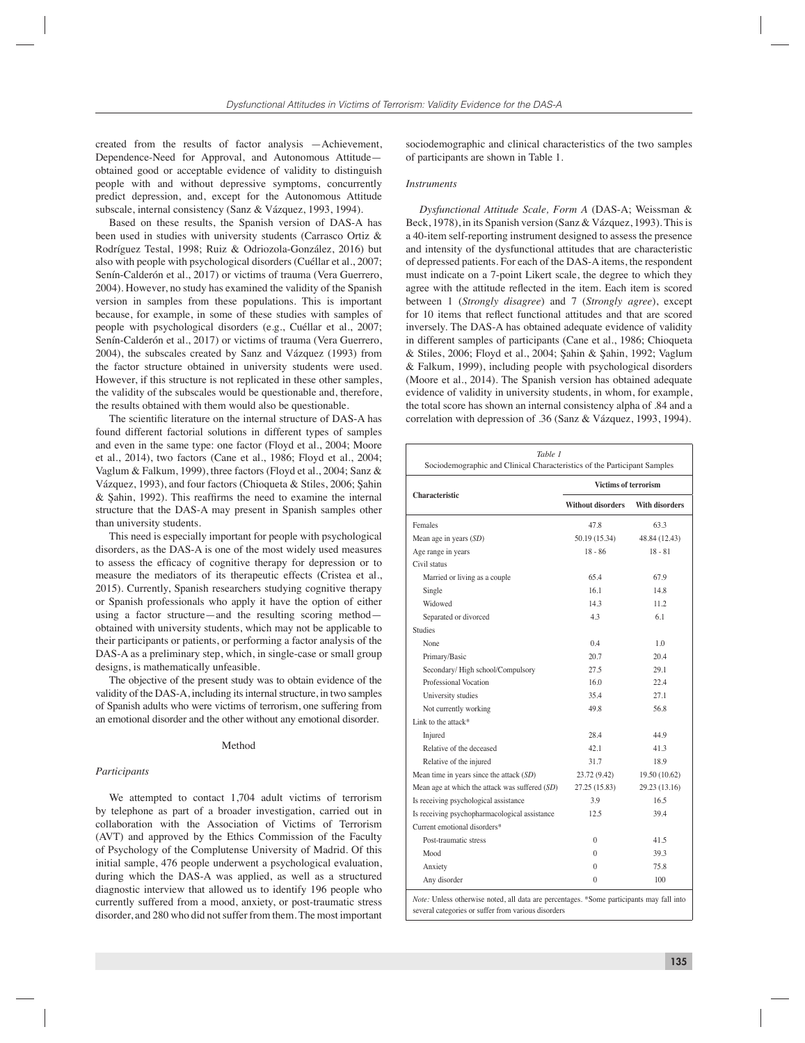created from the results of factor analysis —Achievement, Dependence-Need for Approval, and Autonomous Attitude obtained good or acceptable evidence of validity to distinguish people with and without depressive symptoms, concurrently predict depression, and, except for the Autonomous Attitude subscale, internal consistency (Sanz & Vázquez, 1993, 1994).

Based on these results, the Spanish version of DAS-A has been used in studies with university students (Carrasco Ortiz & Rodríguez Testal, 1998; Ruiz & Odriozola-González, 2016) but also with people with psychological disorders (Cuéllar et al., 2007; Senín-Calderón et al., 2017) or victims of trauma (Vera Guerrero, 2004). However, no study has examined the validity of the Spanish version in samples from these populations. This is important because, for example, in some of these studies with samples of people with psychological disorders (e.g., Cuéllar et al., 2007; Senín-Calderón et al., 2017) or victims of trauma (Vera Guerrero, 2004), the subscales created by Sanz and Vázquez (1993) from the factor structure obtained in university students were used. However, if this structure is not replicated in these other samples, the validity of the subscales would be questionable and, therefore, the results obtained with them would also be questionable.

The scientific literature on the internal structure of DAS-A has found different factorial solutions in different types of samples and even in the same type: one factor (Floyd et al., 2004; Moore et al., 2014), two factors (Cane et al., 1986; Floyd et al., 2004; Vaglum & Falkum, 1999), three factors (Floyd et al., 2004; Sanz & Vázquez, 1993), and four factors (Chioqueta & Stiles, 2006; Şahin  $&$  Şahin, 1992). This reaffirms the need to examine the internal structure that the DAS-A may present in Spanish samples other than university students.

This need is especially important for people with psychological disorders, as the DAS-A is one of the most widely used measures to assess the efficacy of cognitive therapy for depression or to measure the mediators of its therapeutic effects (Cristea et al., 2015). Currently, Spanish researchers studying cognitive therapy or Spanish professionals who apply it have the option of either using a factor structure—and the resulting scoring method obtained with university students, which may not be applicable to their participants or patients, or performing a factor analysis of the DAS-A as a preliminary step, which, in single-case or small group designs, is mathematically unfeasible.

The objective of the present study was to obtain evidence of the validity of the DAS-A, including its internal structure, in two samples of Spanish adults who were victims of terrorism, one suffering from an emotional disorder and the other without any emotional disorder.

#### Method

#### *Participants*

We attempted to contact 1,704 adult victims of terrorism by telephone as part of a broader investigation, carried out in collaboration with the Association of Victims of Terrorism (AVT) and approved by the Ethics Commission of the Faculty of Psychology of the Complutense University of Madrid. Of this initial sample, 476 people underwent a psychological evaluation, during which the DAS-A was applied, as well as a structured diagnostic interview that allowed us to identify 196 people who currently suffered from a mood, anxiety, or post-traumatic stress disorder, and 280 who did not suffer from them. The most important

sociodemographic and clinical characteristics of the two samples of participants are shown in Table 1.

#### *Instruments*

*Dysfunctional Attitude Scale, Form A* (DAS-A; Weissman & Beck, 1978), in its Spanish version (Sanz & Vázquez, 1993). This is a 40-item self-reporting instrument designed to assess the presence and intensity of the dysfunctional attitudes that are characteristic of depressed patients. For each of the DAS-A items, the respondent must indicate on a 7-point Likert scale, the degree to which they agree with the attitude reflected in the item. Each item is scored between 1 (*Strongly disagree*) and 7 (*Strongly agree*), except for 10 items that reflect functional attitudes and that are scored inversely. The DAS-A has obtained adequate evidence of validity in different samples of participants (Cane et al., 1986; Chioqueta & Stiles, 2006; Floyd et al., 2004; Şahin & Şahin, 1992; Vaglum & Falkum, 1999), including people with psychological disorders (Moore et al., 2014). The Spanish version has obtained adequate evidence of validity in university students, in whom, for example, the total score has shown an internal consistency alpha of .84 and a correlation with depression of .36 (Sanz & Vázquez, 1993, 1994).

| Table 1<br>Sociodemographic and Clinical Characteristics of the Participant Samples      |                          |                       |  |  |  |  |
|------------------------------------------------------------------------------------------|--------------------------|-----------------------|--|--|--|--|
|                                                                                          |                          | Victims of terrorism  |  |  |  |  |
| <b>Characteristic</b>                                                                    | <b>Without disorders</b> | <b>With disorders</b> |  |  |  |  |
| Females                                                                                  | 47.8                     | 63.3                  |  |  |  |  |
| Mean age in years $(SD)$                                                                 | 50.19 (15.34)            | 48.84 (12.43)         |  |  |  |  |
| Age range in years                                                                       | $18 - 86$                | $18 - 81$             |  |  |  |  |
| Civil status                                                                             |                          |                       |  |  |  |  |
| Married or living as a couple                                                            | 65.4                     | 67.9                  |  |  |  |  |
| Single                                                                                   | 16.1                     | 14.8                  |  |  |  |  |
| Widowed                                                                                  | 143                      | 11.2                  |  |  |  |  |
| Separated or divorced                                                                    | 4.3                      | 6.1                   |  |  |  |  |
| <b>Studies</b>                                                                           |                          |                       |  |  |  |  |
| None                                                                                     | 0.4                      | 1.0                   |  |  |  |  |
| Primary/Basic                                                                            | 20.7                     | 204                   |  |  |  |  |
| Secondary/High school/Compulsory                                                         | 27.5                     | 29.1                  |  |  |  |  |
| Professional Vocation                                                                    | 160                      | 22.4                  |  |  |  |  |
| University studies                                                                       | 35.4                     | 27.1                  |  |  |  |  |
| Not currently working                                                                    | 49.8                     | 56.8                  |  |  |  |  |
| Link to the attack*                                                                      |                          |                       |  |  |  |  |
| Injured                                                                                  | 284                      | 44.9                  |  |  |  |  |
| Relative of the deceased                                                                 | 42.1                     | 41.3                  |  |  |  |  |
| Relative of the injured                                                                  | 31.7                     | 18.9                  |  |  |  |  |
| Mean time in years since the attack (SD)                                                 | 23.72 (9.42)             | 19.50 (10.62)         |  |  |  |  |
| Mean age at which the attack was suffered (SD)                                           | 27.25 (15.83)            | 29.23 (13.16)         |  |  |  |  |
| Is receiving psychological assistance                                                    | 3.9                      | 16.5                  |  |  |  |  |
| Is receiving psychopharmacological assistance                                            | 12.5                     | 39.4                  |  |  |  |  |
| Current emotional disorders*                                                             |                          |                       |  |  |  |  |
| Post-traumatic stress                                                                    | $\theta$                 | 41.5                  |  |  |  |  |
| Mood                                                                                     | 0                        | 39.3                  |  |  |  |  |
| Anxiety                                                                                  | $\theta$                 | 75.8                  |  |  |  |  |
| Any disorder                                                                             | $\theta$                 | 100                   |  |  |  |  |
| Note: Unless otherwise noted, all data are percentages. *Some participants may fall into |                          |                       |  |  |  |  |

several categories or suffer from various disorders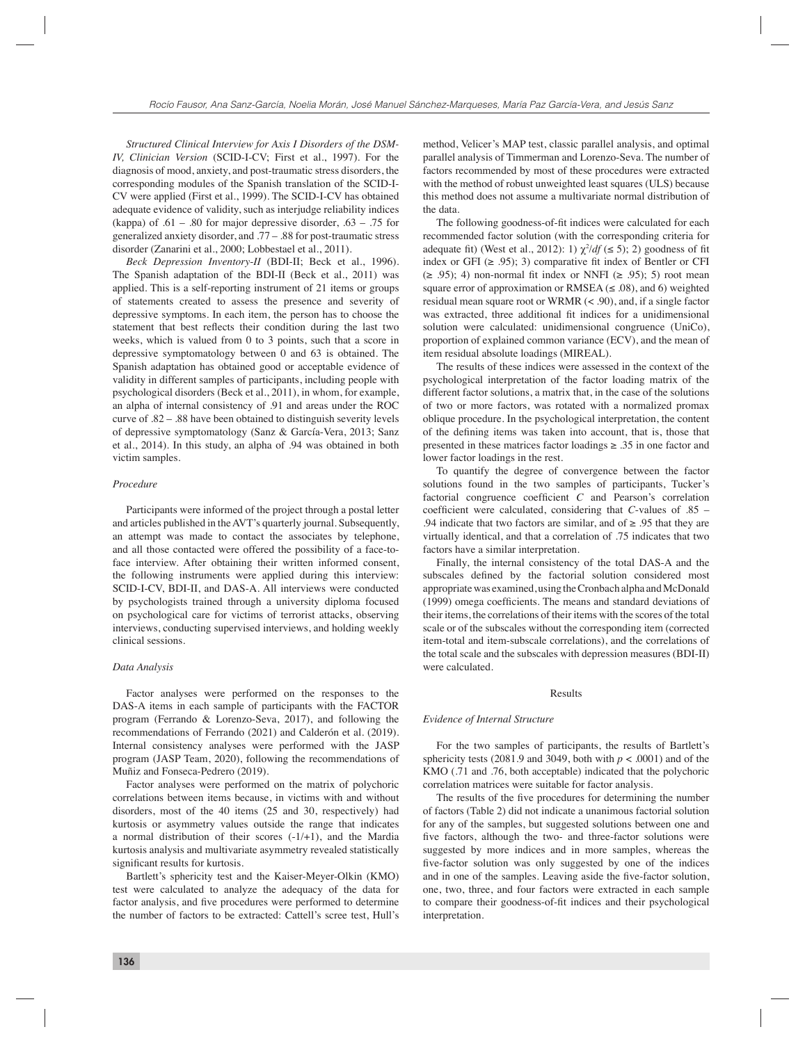*Structured Clinical Interview for Axis I Disorders of the DSM-IV, Clinician Version* (SCID-I-CV; First et al., 1997). For the diagnosis of mood, anxiety, and post-traumatic stress disorders, the corresponding modules of the Spanish translation of the SCID-I-CV were applied (First et al., 1999). The SCID-I-CV has obtained adequate evidence of validity, such as interjudge reliability indices (kappa) of  $.61 - .80$  for major depressive disorder,  $.63 - .75$  for generalized anxiety disorder, and .77 – .88 for post-traumatic stress disorder (Zanarini et al., 2000; Lobbestael et al., 2011).

*Beck Depression Inventory*-*II* (BDI-II; Beck et al., 1996). The Spanish adaptation of the BDI-II (Beck et al., 2011) was applied. This is a self-reporting instrument of 21 items or groups of statements created to assess the presence and severity of depressive symptoms. In each item, the person has to choose the statement that best reflects their condition during the last two weeks, which is valued from 0 to 3 points, such that a score in depressive symptomatology between 0 and 63 is obtained. The Spanish adaptation has obtained good or acceptable evidence of validity in different samples of participants, including people with psychological disorders (Beck et al., 2011), in whom, for example, an alpha of internal consistency of .91 and areas under the ROC curve of .82 – .88 have been obtained to distinguish severity levels of depressive symptomatology (Sanz & García-Vera, 2013; Sanz et al., 2014). In this study, an alpha of .94 was obtained in both victim samples.

### *Procedure*

Participants were informed of the project through a postal letter and articles published in the AVT's quarterly journal. Subsequently, an attempt was made to contact the associates by telephone, and all those contacted were offered the possibility of a face-toface interview. After obtaining their written informed consent, the following instruments were applied during this interview: SCID-I-CV, BDI-II, and DAS-A. All interviews were conducted by psychologists trained through a university diploma focused on psychological care for victims of terrorist attacks, observing interviews, conducting supervised interviews, and holding weekly clinical sessions.

#### *Data Analysis*

Factor analyses were performed on the responses to the DAS-A items in each sample of participants with the FACTOR program (Ferrando & Lorenzo-Seva, 2017), and following the recommendations of Ferrando (2021) and Calderón et al. (2019). Internal consistency analyses were performed with the JASP program (JASP Team, 2020), following the recommendations of Muñiz and Fonseca-Pedrero (2019).

Factor analyses were performed on the matrix of polychoric correlations between items because, in victims with and without disorders, most of the 40 items (25 and 30, respectively) had kurtosis or asymmetry values outside the range that indicates a normal distribution of their scores (-1/+1), and the Mardia kurtosis analysis and multivariate asymmetry revealed statistically significant results for kurtosis.

Bartlett's sphericity test and the Kaiser-Meyer-Olkin (KMO) test were calculated to analyze the adequacy of the data for factor analysis, and five procedures were performed to determine the number of factors to be extracted: Cattell's scree test, Hull's method, Velicer's MAP test, classic parallel analysis, and optimal parallel analysis of Timmerman and Lorenzo-Seva. The number of factors recommended by most of these procedures were extracted with the method of robust unweighted least squares (ULS) because this method does not assume a multivariate normal distribution of the data.

The following goodness-of-fit indices were calculated for each recommended factor solution (with the corresponding criteria for adequate fit) (West et al., 2012): 1)  $\chi^2/df$  ( $\leq$  5); 2) goodness of fit index or GFI ( $\ge$  .95); 3) comparative fit index of Bentler or CFI  $(\geq .95)$ ; 4) non-normal fit index or NNFI  $(\geq .95)$ ; 5) root mean square error of approximation or RMSEA ( $\leq$  .08), and 6) weighted residual mean square root or WRMR (< .90), and, if a single factor was extracted, three additional fit indices for a unidimensional solution were calculated: unidimensional congruence (UniCo), proportion of explained common variance (ECV), and the mean of item residual absolute loadings (MIREAL).

The results of these indices were assessed in the context of the psychological interpretation of the factor loading matrix of the different factor solutions, a matrix that, in the case of the solutions of two or more factors, was rotated with a normalized promax oblique procedure. In the psychological interpretation, the content of the defining items was taken into account, that is, those that presented in these matrices factor loadings ≥ .35 in one factor and lower factor loadings in the rest.

To quantify the degree of convergence between the factor solutions found in the two samples of participants, Tucker's factorial congruence coefficient  $C$  and Pearson's correlation coefficient were calculated, considering that *C*-values of .85 – .94 indicate that two factors are similar, and of  $\geq$  .95 that they are virtually identical, and that a correlation of .75 indicates that two factors have a similar interpretation.

Finally, the internal consistency of the total DAS-A and the subscales defined by the factorial solution considered most appropriate was examined, using the Cronbach alpha and McDonald (1999) omega coefficients. The means and standard deviations of their items, the correlations of their items with the scores of the total scale or of the subscales without the corresponding item (corrected item-total and item-subscale correlations), and the correlations of the total scale and the subscales with depression measures (BDI-II) were calculated.

#### Results

#### *Evidence of Internal Structure*

For the two samples of participants, the results of Bartlett's sphericity tests (2081.9 and 3049, both with  $p < .0001$ ) and of the KMO (.71 and .76, both acceptable) indicated that the polychoric correlation matrices were suitable for factor analysis.

The results of the five procedures for determining the number of factors (Table 2) did not indicate a unanimous factorial solution for any of the samples, but suggested solutions between one and five factors, although the two- and three-factor solutions were suggested by more indices and in more samples, whereas the five-factor solution was only suggested by one of the indices and in one of the samples. Leaving aside the five-factor solution, one, two, three, and four factors were extracted in each sample to compare their goodness-of-fi t indices and their psychological interpretation.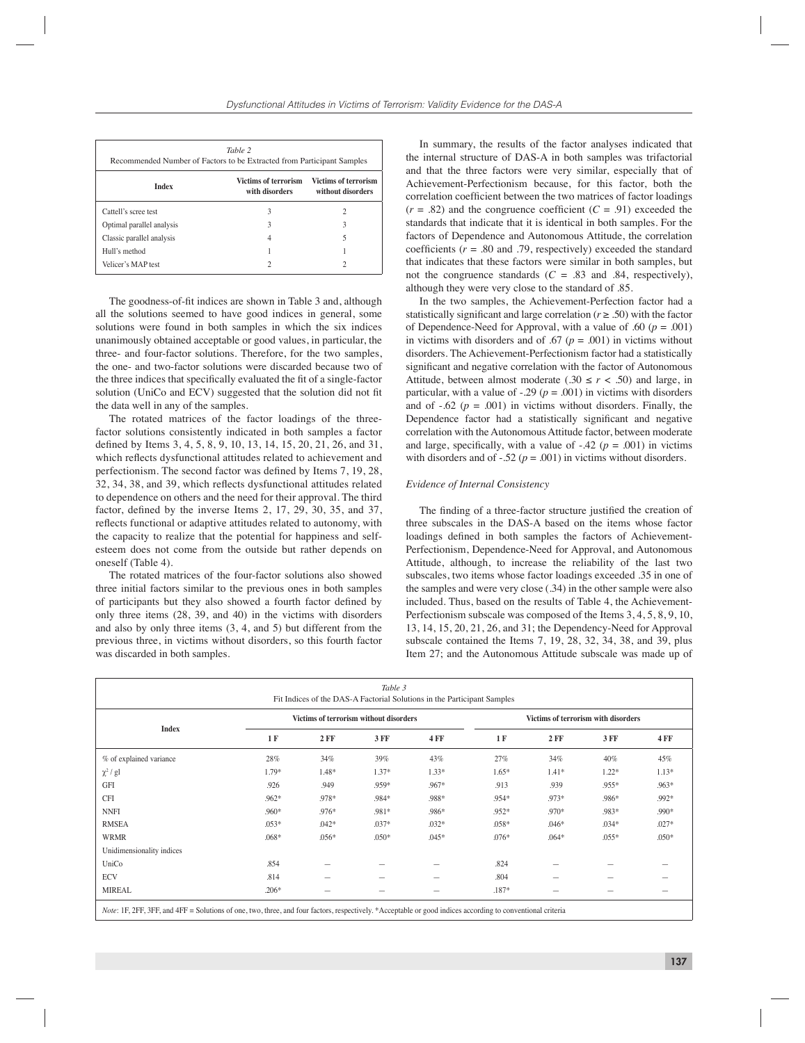| Table 2<br>Recommended Number of Factors to be Extracted from Participant Samples                          |   |   |  |  |  |  |
|------------------------------------------------------------------------------------------------------------|---|---|--|--|--|--|
| Victims of terrorism<br><b>Victims of terrorism</b><br><b>Index</b><br>with disorders<br>without disorders |   |   |  |  |  |  |
| Cattell's scree test                                                                                       | 3 | 2 |  |  |  |  |
| Optimal parallel analysis                                                                                  | 3 | 3 |  |  |  |  |
| Classic parallel analysis                                                                                  |   | 5 |  |  |  |  |
| Hull's method                                                                                              |   |   |  |  |  |  |
| Velicer's MAP test                                                                                         |   |   |  |  |  |  |

The goodness-of-fit indices are shown in Table 3 and, although all the solutions seemed to have good indices in general, some solutions were found in both samples in which the six indices unanimously obtained acceptable or good values, in particular, the three- and four-factor solutions. Therefore, for the two samples, the one- and two-factor solutions were discarded because two of the three indices that specifically evaluated the fit of a single-factor solution (UniCo and ECV) suggested that the solution did not fit the data well in any of the samples.

The rotated matrices of the factor loadings of the threefactor solutions consistently indicated in both samples a factor defined by Items 3, 4, 5, 8, 9, 10, 13, 14, 15, 20, 21, 26, and 31, which reflects dysfunctional attitudes related to achievement and perfectionism. The second factor was defined by Items 7, 19, 28, 32, 34, 38, and 39, which reflects dysfunctional attitudes related to dependence on others and the need for their approval. The third factor, defined by the inverse Items  $2$ ,  $17$ ,  $29$ ,  $30$ ,  $35$ , and  $37$ , reflects functional or adaptive attitudes related to autonomy, with the capacity to realize that the potential for happiness and selfesteem does not come from the outside but rather depends on oneself (Table 4).

The rotated matrices of the four-factor solutions also showed three initial factors similar to the previous ones in both samples of participants but they also showed a fourth factor defined by only three items (28, 39, and 40) in the victims with disorders and also by only three items (3, 4, and 5) but different from the previous three, in victims without disorders, so this fourth factor was discarded in both samples.

In summary, the results of the factor analyses indicated that the internal structure of DAS-A in both samples was trifactorial and that the three factors were very similar, especially that of Achievement-Perfectionism because, for this factor, both the correlation coefficient between the two matrices of factor loadings  $(r = .82)$  and the congruence coefficient  $(C = .91)$  exceeded the standards that indicate that it is identical in both samples. For the factors of Dependence and Autonomous Attitude, the correlation coefficients ( $r = .80$  and .79, respectively) exceeded the standard that indicates that these factors were similar in both samples, but not the congruence standards  $(C = .83$  and .84, respectively), although they were very close to the standard of .85.

In the two samples, the Achievement-Perfection factor had a statistically significant and large correlation ( $r \geq .50$ ) with the factor of Dependence-Need for Approval, with a value of .60 ( $p = .001$ ) in victims with disorders and of .67 ( $p = .001$ ) in victims without disorders. The Achievement-Perfectionism factor had a statistically significant and negative correlation with the factor of Autonomous Attitude, between almost moderate (.30  $\leq r < .50$ ) and large, in particular, with a value of  $-.29$  ( $p = .001$ ) in victims with disorders and of  $-.62$  ( $p = .001$ ) in victims without disorders. Finally, the Dependence factor had a statistically significant and negative correlation with the Autonomous Attitude factor, between moderate and large, specifically, with a value of  $-42$  ( $p = .001$ ) in victims with disorders and of  $-.52$  ( $p = .001$ ) in victims without disorders.

#### *Evidence of Internal Consistency*

The finding of a three-factor structure justified the creation of three subscales in the DAS-A based on the items whose factor loadings defined in both samples the factors of Achievement-Perfectionism, Dependence-Need for Approval, and Autonomous Attitude, although, to increase the reliability of the last two subscales, two items whose factor loadings exceeded .35 in one of the samples and were very close (.34) in the other sample were also included. Thus, based on the results of Table 4, the Achievement-Perfectionism subscale was composed of the Items 3, 4, 5, 8, 9, 10, 13, 14, 15, 20, 21, 26, and 31; the Dependency-Need for Approval subscale contained the Items 7, 19, 28, 32, 34, 38, and 39, plus Item 27; and the Autonomous Attitude subscale was made up of

| Table 3<br>Fit Indices of the DAS-A Factorial Solutions in the Participant Samples                                                                                 |                                        |         |         |             |                                     |         |         |             |
|--------------------------------------------------------------------------------------------------------------------------------------------------------------------|----------------------------------------|---------|---------|-------------|-------------------------------------|---------|---------|-------------|
| <b>Index</b>                                                                                                                                                       | Victims of terrorism without disorders |         |         |             | Victims of terrorism with disorders |         |         |             |
|                                                                                                                                                                    | 1 F                                    | $2$ FF  | 3 FF    | <b>4 FF</b> | 1 F                                 | $2$ FF  | 3 FF    | <b>4 FF</b> |
| % of explained variance                                                                                                                                            | 28%                                    | 34%     | 39%     | 43%         | 27%                                 | 34%     | 40%     | 45%         |
| $\chi^2$ / gl                                                                                                                                                      | $1.79*$                                | 1.48*   | $1.37*$ | $1.33*$     | $1.65*$                             | $1.41*$ | $1.22*$ | $1.13*$     |
| <b>GFI</b>                                                                                                                                                         | .926                                   | .949    | .959*   | .967*       | .913                                | .939    | .955*   | $.963*$     |
| <b>CFI</b>                                                                                                                                                         | $.962*$                                | .978*   | .984*   | .988*       | .954*                               | .973*   | .986*   | .992*       |
| <b>NNFI</b>                                                                                                                                                        | .960*                                  | .976*   | .981*   | .986*       | .952*                               | .970*   | .983*   | .990*       |
| <b>RMSEA</b>                                                                                                                                                       | $.053*$                                | $.042*$ | $.037*$ | $.032*$     | $.058*$                             | $.046*$ | $.034*$ | $.027*$     |
| <b>WRMR</b>                                                                                                                                                        | $.068*$                                | $.056*$ | $.050*$ | $.045*$     | $.076*$                             | $.064*$ | $.055*$ | $.050*$     |
| Unidimensionality indices                                                                                                                                          |                                        |         |         |             |                                     |         |         |             |
| UniCo                                                                                                                                                              | .854                                   |         |         |             | .824                                |         |         |             |
| <b>ECV</b>                                                                                                                                                         | .814                                   |         |         |             | .804                                |         |         |             |
| <b>MIREAL</b>                                                                                                                                                      | $.206*$                                |         |         |             | $.187*$                             |         |         |             |
| <i>Note</i> : 1F, 2FF, 3FF, and 4FF = Solutions of one, two, three, and four factors, respectively. *Acceptable or good indices according to conventional criteria |                                        |         |         |             |                                     |         |         |             |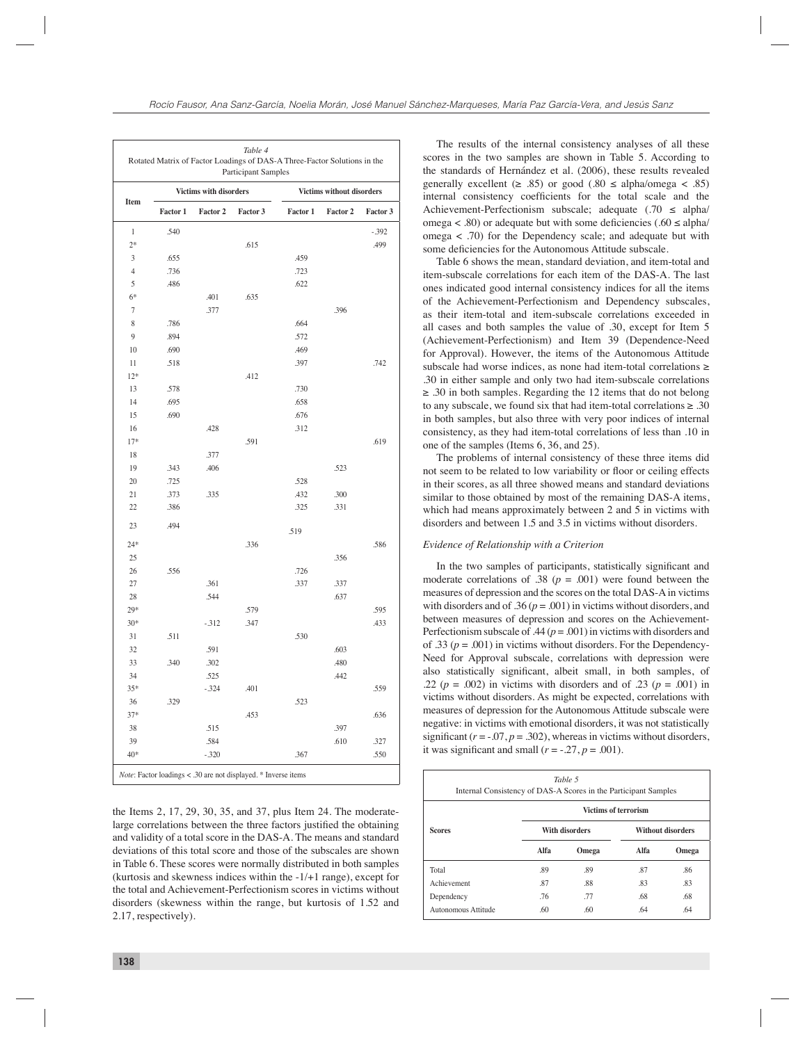| Table 4<br>Rotated Matrix of Factor Loadings of DAS-A Three-Factor Solutions in the<br>Participant Samples |          |                               |                                                                          |          |                           |          |  |  |
|------------------------------------------------------------------------------------------------------------|----------|-------------------------------|--------------------------------------------------------------------------|----------|---------------------------|----------|--|--|
| Item                                                                                                       |          | <b>Victims with disorders</b> |                                                                          |          | Victims without disorders |          |  |  |
|                                                                                                            | Factor 1 | Factor 2                      | Factor 3                                                                 | Factor 1 | Factor 2                  | Factor 3 |  |  |
| 1                                                                                                          | .540     |                               |                                                                          |          |                           | $-.392$  |  |  |
| $2*$                                                                                                       |          |                               | .615                                                                     |          |                           | .499     |  |  |
| 3                                                                                                          | .655     |                               |                                                                          | .459     |                           |          |  |  |
| $\overline{4}$                                                                                             | .736     |                               |                                                                          | .723     |                           |          |  |  |
| 5                                                                                                          | .486     |                               |                                                                          | .622     |                           |          |  |  |
| $6*$                                                                                                       |          | .401                          | .635                                                                     |          |                           |          |  |  |
| 7                                                                                                          |          | .377                          |                                                                          |          | .396                      |          |  |  |
| 8                                                                                                          | .786     |                               |                                                                          | .664     |                           |          |  |  |
| 9                                                                                                          | .894     |                               |                                                                          | .572     |                           |          |  |  |
| 10                                                                                                         | .690     |                               |                                                                          | .469     |                           |          |  |  |
| 11                                                                                                         | .518     |                               |                                                                          | .397     |                           | .742     |  |  |
| $12*$                                                                                                      |          |                               | .412                                                                     |          |                           |          |  |  |
| 13                                                                                                         | .578     |                               |                                                                          | .730     |                           |          |  |  |
| 14                                                                                                         | .695     |                               |                                                                          | .658     |                           |          |  |  |
| 15                                                                                                         | .690     |                               |                                                                          | .676     |                           |          |  |  |
| 16                                                                                                         |          | .428                          |                                                                          | .312     |                           |          |  |  |
| $17*$                                                                                                      |          |                               | .591                                                                     |          |                           | .619     |  |  |
| 18                                                                                                         |          | .377                          |                                                                          |          |                           |          |  |  |
| 19                                                                                                         | .343     | .406                          |                                                                          |          | .523                      |          |  |  |
| 20                                                                                                         | .725     |                               |                                                                          | .528     |                           |          |  |  |
| 21                                                                                                         | .373     | .335                          |                                                                          | .432     | .300                      |          |  |  |
| 22                                                                                                         | .386     |                               |                                                                          | .325     | .331                      |          |  |  |
| 23                                                                                                         | .494     |                               |                                                                          | .519     |                           |          |  |  |
| $24*$                                                                                                      |          |                               | .336                                                                     |          |                           | .586     |  |  |
| 25                                                                                                         |          |                               |                                                                          |          | .356                      |          |  |  |
| 26                                                                                                         | .556     |                               |                                                                          | .726     |                           |          |  |  |
| 27                                                                                                         |          | .361                          |                                                                          | .337     | .337                      |          |  |  |
| 28                                                                                                         |          | .544                          |                                                                          |          | .637                      |          |  |  |
| $29*$                                                                                                      |          |                               | .579                                                                     |          |                           | .595     |  |  |
| $30*$                                                                                                      |          | $-312$                        | .347                                                                     |          |                           | .433     |  |  |
| 31                                                                                                         | .511     |                               |                                                                          | .530     |                           |          |  |  |
| 32                                                                                                         |          | .591                          |                                                                          |          | .603                      |          |  |  |
| 33                                                                                                         | .340     | .302                          |                                                                          |          | .480                      |          |  |  |
| 34                                                                                                         |          | .525                          |                                                                          |          | .442                      |          |  |  |
| $35*$                                                                                                      |          | $-324$                        | .401                                                                     |          |                           | .559     |  |  |
| 36                                                                                                         | .329     |                               |                                                                          | .523     |                           |          |  |  |
| $37*$                                                                                                      |          |                               | .453                                                                     |          |                           | .636     |  |  |
| 38                                                                                                         |          | .515                          |                                                                          |          | .397                      |          |  |  |
| 39                                                                                                         |          | .584                          |                                                                          |          | .610                      | .327     |  |  |
| 40*                                                                                                        |          | $-320$                        |                                                                          | .367     |                           | .550     |  |  |
|                                                                                                            |          |                               | <i>Note</i> : Factor loadings < .30 are not displayed. $*$ Inverse items |          |                           |          |  |  |

The results of the internal consistency analyses of all these scores in the two samples are shown in Table 5. According to the standards of Hernández et al. (2006), these results revealed generally excellent ( $\geq$  .85) or good (.80  $\leq$  alpha/omega  $\lt$  .85) internal consistency coefficients for the total scale and the Achievement-Perfectionism subscale; adequate  $(.70 \le \text{alpha}/$ omega < .80) or adequate but with some deficiencies (.60  $\leq$  alpha/ omega < .70) for the Dependency scale; and adequate but with some deficiencies for the Autonomous Attitude subscale.

Table 6 shows the mean, standard deviation, and item-total and item-subscale correlations for each item of the DAS-A. The last ones indicated good internal consistency indices for all the items of the Achievement-Perfectionism and Dependency subscales, as their item-total and item-subscale correlations exceeded in all cases and both samples the value of .30, except for Item 5 (Achievement-Perfectionism) and Item 39 (Dependence-Need for Approval). However, the items of the Autonomous Attitude subscale had worse indices, as none had item-total correlations ≥ .30 in either sample and only two had item-subscale correlations  $\geq$  .30 in both samples. Regarding the 12 items that do not belong to any subscale, we found six that had item-total correlations  $\geq 0.30$ in both samples, but also three with very poor indices of internal consistency, as they had item-total correlations of less than .10 in one of the samples (Items 6, 36, and 25).

The problems of internal consistency of these three items did not seem to be related to low variability or floor or ceiling effects in their scores, as all three showed means and standard deviations similar to those obtained by most of the remaining DAS-A items, which had means approximately between 2 and 5 in victims with disorders and between 1.5 and 3.5 in victims without disorders.

#### *Evidence of Relationship with a Criterion*

In the two samples of participants, statistically significant and moderate correlations of .38 ( $p = .001$ ) were found between the measures of depression and the scores on the total DAS-A in victims with disorders and of .36 ( $p = .001$ ) in victims without disorders, and between measures of depression and scores on the Achievement-Perfectionism subscale of .44 ( $p = .001$ ) in victims with disorders and of .33 ( $p = .001$ ) in victims without disorders. For the Dependency-Need for Approval subscale, correlations with depression were also statistically significant, albeit small, in both samples, of .22 ( $p = .002$ ) in victims with disorders and of .23 ( $p = .001$ ) in victims without disorders. As might be expected, correlations with measures of depression for the Autonomous Attitude subscale were negative: in victims with emotional disorders, it was not statistically significant  $(r = .07, p = .302)$ , whereas in victims without disorders, it was significant and small  $(r = -0.27, p = .001)$ .

| <i>Note:</i> Factor loadings < .30 are not displayed. * Inverse items                                                                   | Table 5<br>Internal Consistency of DAS-A Scores in the Participant Samples |                             |                |      |                          |  |
|-----------------------------------------------------------------------------------------------------------------------------------------|----------------------------------------------------------------------------|-----------------------------|----------------|------|--------------------------|--|
| e Items 2, 17, 29, 30, 35, and 37, plus Item 24. The moderate-                                                                          |                                                                            | <b>Victims of terrorism</b> |                |      |                          |  |
| rge correlations between the three factors justified the obtaining<br>nd validity of a total score in the DAS-A. The means and standard | <b>Scores</b>                                                              |                             | With disorders |      | <b>Without disorders</b> |  |
| eviations of this total score and those of the subscales are shown                                                                      |                                                                            | Alfa                        | Omega          | Alfa | Omega                    |  |
| Table 6. These scores were normally distributed in both samples<br>curtosis and skewness indices within the $-1/+1$ range), except for  | Total                                                                      | .89                         | .89            | .87  | .86                      |  |
| e total and Achievement-Perfectionism scores in victims without                                                                         | Achievement                                                                | .87                         | .88            | .83  | .83                      |  |
|                                                                                                                                         | Dependency                                                                 | .76                         | .77            | .68  | .68                      |  |
| isorders (skewness within the range, but kurtosis of 1.52 and<br>17 respectively)                                                       | Autonomous Attitude                                                        | .60                         | .60            | .64  | .64                      |  |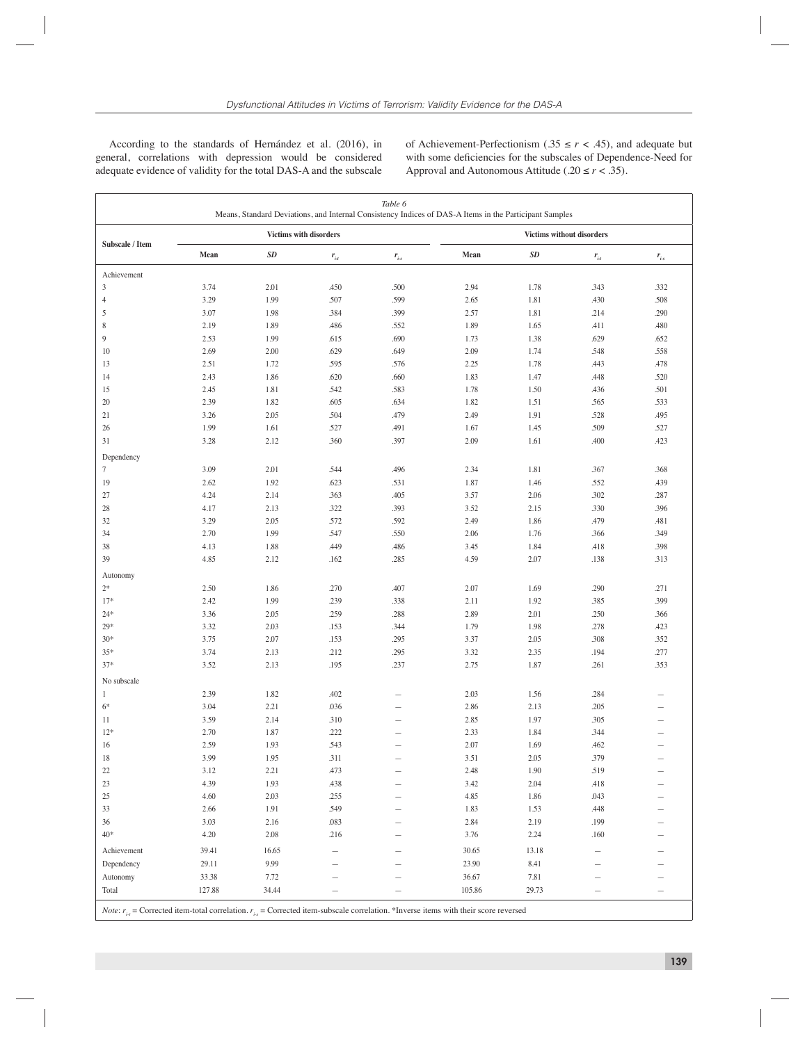According to the standards of Hernández et al. (2016), in general, correlations with depression would be considered adequate evidence of validity for the total DAS-A and the subscale of Achievement-Perfectionism ( $.35 \le r < .45$ ), and adequate but with some deficiencies for the subscales of Dependence-Need for Approval and Autonomous Attitude (.20  $\le r < .35$ ).

| Table 6<br>Means, Standard Deviations, and Internal Consistency Indices of DAS-A Items in the Participant Samples                             |                        |       |              |           |                                  |                   |              |           |
|-----------------------------------------------------------------------------------------------------------------------------------------------|------------------------|-------|--------------|-----------|----------------------------------|-------------------|--------------|-----------|
|                                                                                                                                               | Victims with disorders |       |              |           | <b>Victims without disorders</b> |                   |              |           |
| Subscale / Item                                                                                                                               | Mean                   | SD    | $r_{_{i:t}}$ | $r_{i-s}$ | Mean                             | $\boldsymbol{SD}$ | $r_{_{i:t}}$ | $r_{i-s}$ |
| Achievement                                                                                                                                   |                        |       |              |           |                                  |                   |              |           |
| $\mathfrak{Z}$                                                                                                                                | 3.74                   | 2.01  | .450         | .500      | 2.94                             | 1.78              | .343         | .332      |
| $\overline{4}$                                                                                                                                | 3.29                   | 1.99  | .507         | .599      | 2.65                             | 1.81              | .430         | .508      |
| 5                                                                                                                                             | 3.07                   | 1.98  | .384         | .399      | 2.57                             | 1.81              | .214         | .290      |
| 8                                                                                                                                             | 2.19                   | 1.89  | .486         | .552      | 1.89                             | 1.65              | .411         | .480      |
| 9                                                                                                                                             | 2.53                   | 1.99  | .615         | .690      | 1.73                             | 1.38              | .629         | .652      |
| 10                                                                                                                                            | 2.69                   | 2.00  | .629         | .649      | 2.09                             | 1.74              | .548         | .558      |
| 13                                                                                                                                            | 2.51                   | 1.72  | .595         | .576      | 2.25                             | 1.78              | .443         | .478      |
| 14                                                                                                                                            | 2.43                   | 1.86  | .620         | .660      | 1.83                             | 1.47              | .448         | .520      |
| 15                                                                                                                                            | 2.45                   | 1.81  | .542         | .583      | 1.78                             | 1.50              | .436         | .501      |
| 20                                                                                                                                            | 2.39                   | 1.82  | .605         | .634      | 1.82                             | 1.51              | .565         | .533      |
| 21                                                                                                                                            | 3.26                   | 2.05  | .504         | .479      | 2.49                             | 1.91              | .528         | .495      |
| 26                                                                                                                                            | 1.99                   | 1.61  | .527         | .491      | 1.67                             | 1.45              | .509         | .527      |
| 31                                                                                                                                            | 3.28                   | 2.12  | .360         | .397      | 2.09                             | 1.61              | .400         | .423      |
| Dependency                                                                                                                                    |                        |       |              |           |                                  |                   |              |           |
| 7                                                                                                                                             | 3.09                   | 2.01  | .544         | .496      | 2.34                             | 1.81              | .367         | .368      |
| 19                                                                                                                                            | 2.62                   | 1.92  | .623         | .531      | 1.87                             | 1.46              | .552         | .439      |
| 27                                                                                                                                            | 4.24                   | 2.14  | .363         | .405      | 3.57                             | 2.06              | .302         | .287      |
| 28                                                                                                                                            | 4.17                   | 2.13  | .322         | .393      | 3.52                             | 2.15              | .330         | .396      |
| 32                                                                                                                                            | 3.29                   | 2.05  | .572         | .592      | 2.49                             | 1.86              | .479         | .481      |
| 34                                                                                                                                            | 2.70                   | 1.99  | .547         | .550      | 2.06                             | 1.76              | .366         | .349      |
| 38                                                                                                                                            | 4.13                   | 1.88  | .449         | .486      | 3.45                             | 1.84              | .418         | .398      |
| 39                                                                                                                                            | 4.85                   | 2.12  | .162         | .285      | 4.59                             | 2.07              | .138         | .313      |
| Autonomy                                                                                                                                      |                        |       |              |           |                                  |                   |              |           |
| $2*$                                                                                                                                          | 2.50                   | 1.86  | .270         | .407      | 2.07                             | 1.69              | .290         | .271      |
| $17*$                                                                                                                                         | 2.42                   | 1.99  | .239         | .338      | 2.11                             | 1.92              | .385         | .399      |
| $24*$                                                                                                                                         | 3.36                   | 2.05  | .259         | .288      | 2.89                             | 2.01              | .250         | .366      |
| $29*$                                                                                                                                         | 3.32                   | 2.03  | .153         | .344      | 1.79                             | 1.98              | .278         | .423      |
| $30*$                                                                                                                                         | 3.75                   | 2.07  | .153         | .295      | 3.37                             | 2.05              | .308         | .352      |
| $35*$                                                                                                                                         | 3.74                   | 2.13  | .212         | .295      | 3.32                             | 2.35              | .194         | .277      |
| $37*$                                                                                                                                         | 3.52                   | 2.13  | .195         | .237      | 2.75                             | 1.87              | .261         | .353      |
| No subscale                                                                                                                                   |                        |       |              |           |                                  |                   |              |           |
| $\mathbf{1}$                                                                                                                                  | 2.39                   | 1.82  | .402         |           | 2.03                             | 1.56              | .284         |           |
| $6*$                                                                                                                                          | 3.04                   | 2.21  | .036         |           | 2.86                             | 2.13              | .205         |           |
| 11                                                                                                                                            | 3.59                   | 2.14  | .310         |           | 2.85                             | 1.97              | .305         |           |
| $12*$                                                                                                                                         | 2.70                   | 1.87  | .222         |           | 2.33                             | 1.84              | .344         |           |
| 16                                                                                                                                            | 2.59                   | 1.93  | .543         |           | 2.07                             | 1.69              | .462         |           |
| 18                                                                                                                                            | 3.99                   | 1.95  | .311         |           | 3.51                             | 2.05              | .379         |           |
| 22                                                                                                                                            | 3.12                   | 2.21  | .473         |           | 2.48                             | 1.90              | .519         |           |
| 23                                                                                                                                            | 4.39                   | 1.93  | .438         |           | 3.42                             | 2.04              | .418         |           |
| 25                                                                                                                                            | 4.60                   | 2.03  | .255         |           | 4.85                             | 1.86              | .043         |           |
| 33                                                                                                                                            | 2.66                   | 1.91  | .549         |           | 1.83                             | 1.53              | .448         |           |
| 36                                                                                                                                            | 3.03                   | 2.16  | .083         |           | 2.84                             | 2.19              | .199         |           |
| $40*$                                                                                                                                         | 4.20                   | 2.08  | .216         |           | 3.76                             | 2.24              | .160         |           |
| Achievement                                                                                                                                   | 39.41                  | 16.65 |              |           | 30.65                            | 13.18             |              |           |
| Dependency                                                                                                                                    | 29.11                  | 9.99  |              |           | 23.90                            | 8.41              |              |           |
| Autonomy                                                                                                                                      | 33.38                  | 7.72  |              |           | 36.67                            | 7.81              |              |           |
| Total                                                                                                                                         | 127.88                 | 34.44 |              |           | 105.86                           | 29.73             |              | —         |
| Note: $r_{i,t}$ = Corrected item-total correlation. $r_{i,s}$ = Corrected item-subscale correlation. *Inverse items with their score reversed |                        |       |              |           |                                  |                   |              |           |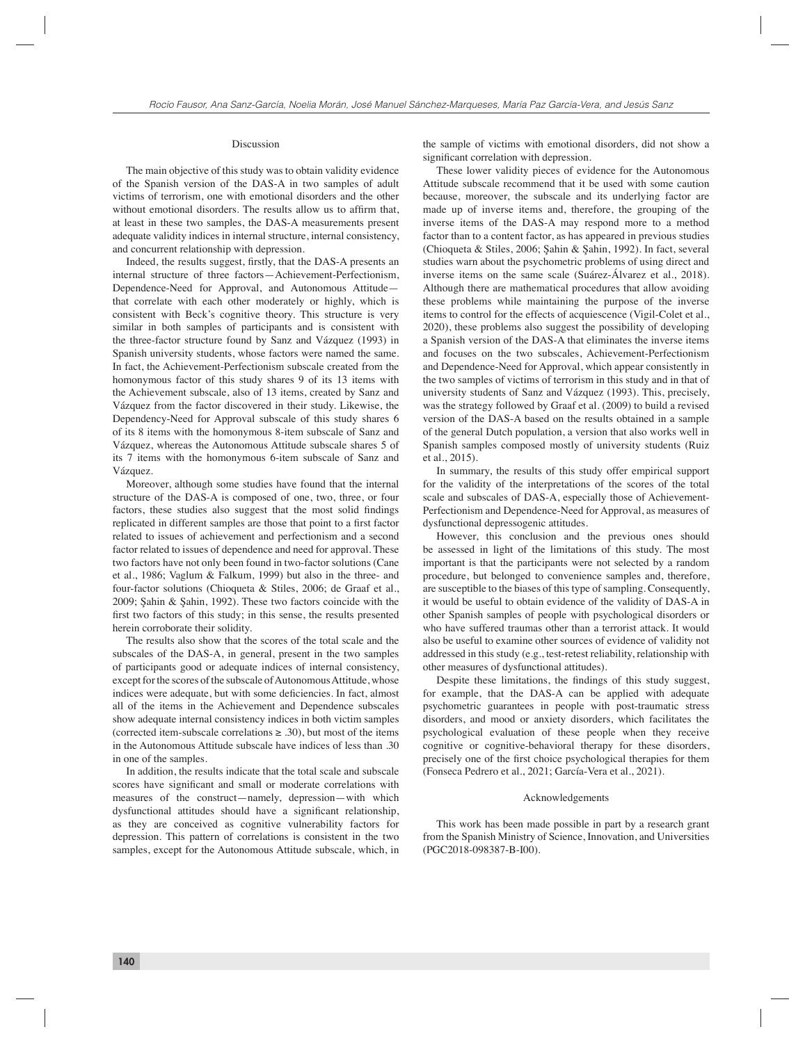#### Discussion

The main objective of this study was to obtain validity evidence of the Spanish version of the DAS-A in two samples of adult victims of terrorism, one with emotional disorders and the other without emotional disorders. The results allow us to affirm that, at least in these two samples, the DAS-A measurements present adequate validity indices in internal structure, internal consistency, and concurrent relationship with depression.

Indeed, the results suggest, firstly, that the DAS-A presents an internal structure of three factors—Achievement-Perfectionism, Dependence-Need for Approval, and Autonomous Attitude that correlate with each other moderately or highly, which is consistent with Beck's cognitive theory. This structure is very similar in both samples of participants and is consistent with the three-factor structure found by Sanz and Vázquez (1993) in Spanish university students, whose factors were named the same. In fact, the Achievement-Perfectionism subscale created from the homonymous factor of this study shares 9 of its 13 items with the Achievement subscale, also of 13 items, created by Sanz and Vázquez from the factor discovered in their study. Likewise, the Dependency-Need for Approval subscale of this study shares 6 of its 8 items with the homonymous 8-item subscale of Sanz and Vázquez, whereas the Autonomous Attitude subscale shares 5 of its 7 items with the homonymous 6-item subscale of Sanz and Vázquez.

Moreover, although some studies have found that the internal structure of the DAS-A is composed of one, two, three, or four factors, these studies also suggest that the most solid findings replicated in different samples are those that point to a first factor related to issues of achievement and perfectionism and a second factor related to issues of dependence and need for approval. These two factors have not only been found in two-factor solutions (Cane et al., 1986; Vaglum & Falkum, 1999) but also in the three- and four-factor solutions (Chioqueta & Stiles, 2006; de Graaf et al., 2009; Şahin & Şahin, 1992). These two factors coincide with the first two factors of this study; in this sense, the results presented herein corroborate their solidity.

The results also show that the scores of the total scale and the subscales of the DAS-A, in general, present in the two samples of participants good or adequate indices of internal consistency, except for the scores of the subscale of Autonomous Attitude, whose indices were adequate, but with some deficiencies. In fact, almost all of the items in the Achievement and Dependence subscales show adequate internal consistency indices in both victim samples (corrected item-subscale correlations  $\geq$  .30), but most of the items in the Autonomous Attitude subscale have indices of less than .30 in one of the samples.

In addition, the results indicate that the total scale and subscale scores have significant and small or moderate correlations with measures of the construct—namely, depression—with which dysfunctional attitudes should have a significant relationship, as they are conceived as cognitive vulnerability factors for depression. This pattern of correlations is consistent in the two samples, except for the Autonomous Attitude subscale, which, in the sample of victims with emotional disorders, did not show a significant correlation with depression.

These lower validity pieces of evidence for the Autonomous Attitude subscale recommend that it be used with some caution because, moreover, the subscale and its underlying factor are made up of inverse items and, therefore, the grouping of the inverse items of the DAS-A may respond more to a method factor than to a content factor, as has appeared in previous studies (Chioqueta & Stiles, 2006; Şahin & Şahin, 1992). In fact, several studies warn about the psychometric problems of using direct and inverse items on the same scale (Suárez-Álvarez et al., 2018). Although there are mathematical procedures that allow avoiding these problems while maintaining the purpose of the inverse items to control for the effects of acquiescence (Vigil-Colet et al., 2020), these problems also suggest the possibility of developing a Spanish version of the DAS-A that eliminates the inverse items and focuses on the two subscales, Achievement-Perfectionism and Dependence-Need for Approval, which appear consistently in the two samples of victims of terrorism in this study and in that of university students of Sanz and Vázquez (1993). This, precisely, was the strategy followed by Graaf et al. (2009) to build a revised version of the DAS-A based on the results obtained in a sample of the general Dutch population, a version that also works well in Spanish samples composed mostly of university students (Ruiz et al., 2015).

In summary, the results of this study offer empirical support for the validity of the interpretations of the scores of the total scale and subscales of DAS-A, especially those of Achievement-Perfectionism and Dependence-Need for Approval, as measures of dysfunctional depressogenic attitudes.

However, this conclusion and the previous ones should be assessed in light of the limitations of this study. The most important is that the participants were not selected by a random procedure, but belonged to convenience samples and, therefore, are susceptible to the biases of this type of sampling. Consequently, it would be useful to obtain evidence of the validity of DAS-A in other Spanish samples of people with psychological disorders or who have suffered traumas other than a terrorist attack. It would also be useful to examine other sources of evidence of validity not addressed in this study (e.g., test-retest reliability, relationship with other measures of dysfunctional attitudes).

Despite these limitations, the findings of this study suggest, for example, that the DAS-A can be applied with adequate psychometric guarantees in people with post-traumatic stress disorders, and mood or anxiety disorders, which facilitates the psychological evaluation of these people when they receive cognitive or cognitive-behavioral therapy for these disorders, precisely one of the first choice psychological therapies for them (Fonseca Pedrero et al., 2021; García-Vera et al., 2021).

#### Acknowledgements

This work has been made possible in part by a research grant from the Spanish Ministry of Science, Innovation, and Universities (PGC2018-098387-B-I00).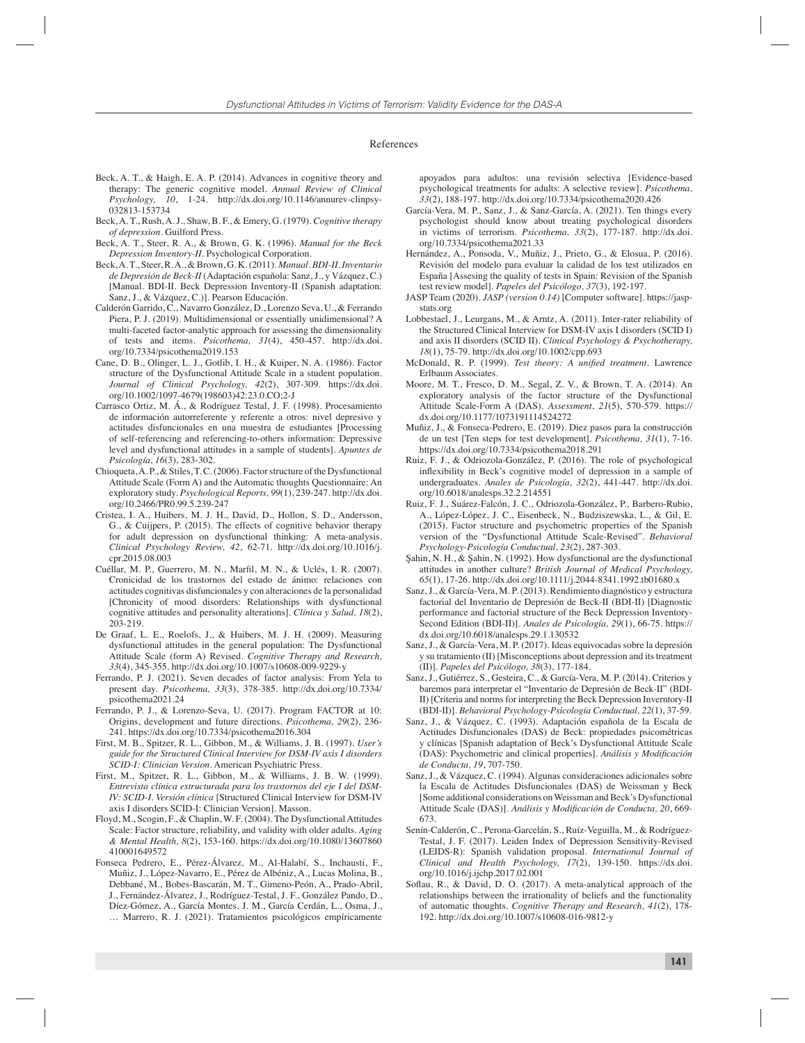#### References

- Beck, A. T., & Haigh, E. A. P. (2014). Advances in cognitive theory and therapy: The generic cognitive model. *Annual Review of Clinical Psychology, 10*, 1-24. http://dx.doi.org/10.1146/annurev-clinpsy-032813-153734
- Beck, A. T., Rush, A. J., Shaw, B. F., & Emery, G. (1979). *Cognitive therapy of depression*. Guilford Press.
- Beck, A. T., Steer, R. A., & Brown, G. K. (1996). *Manual for the Beck Depression Inventory-II*. Psychological Corporation.
- Beck, A. T., Steer, R. A., & Brown, G. K. (2011). *Manual. BDI-II. Inventario de Depresión de Beck-II* (Adaptación española: Sanz, J., y Vázquez, C.) [Manual. BDI-II. Beck Depression Inventory-II (Spanish adaptation: Sanz, J., & Vázquez, C.)]. Pearson Educación.
- Calderón Garrido, C., Navarro González, D., Lorenzo Seva, U., & Ferrando Piera, P. J. (2019). Multidimensional or essentially unidimensional? A multi-faceted factor-analytic approach for assessing the dimensionality of tests and items. *Psicothema, 31*(4), 450-457. http://dx.doi. org/10.7334/psicothema2019.153
- Cane, D. B., Olinger, L. J., Gotlib, I. H., & Kuiper, N. A. (1986). Factor structure of the Dysfunctional Attitude Scale in a student population. *Journal of Clinical Psychology, 42*(2), 307-309. https://dx.doi. org/10.1002/1097-4679(198603)42:23.0.CO;2-J
- Carrasco Ortiz, M. Á., & Rodríguez Testal, J. F. (1998). Procesamiento de información autorreferente y referente a otros: nivel depresivo y actitudes disfuncionales en una muestra de estudiantes [Processing of self-referencing and referencing-to-others information: Depressive level and dysfunctional attitudes in a sample of students]. *Apuntes de Psicología, 16*(3), 283-302.
- Chioqueta, A. P., & Stiles, T. C. (2006). Factor structure of the Dysfunctional Attitude Scale (Form A) and the Automatic thoughts Questionnaire: An exploratory study. *Psychological Reports, 99*(1), 239-247. http://dx.doi. org/10.2466/PR0.99.5.239-247
- Cristea, I. A., Huibers, M. J. H., David, D., Hollon, S. D., Andersson, G., & Cuijpers, P. (2015). The effects of cognitive behavior therapy for adult depression on dysfunctional thinking: A meta-analysis. *Clinical Psychology Review, 42*, 62-71. http://dx.doi.org/10.1016/j. cpr.2015.08.003
- Cuéllar, M. P., Guerrero, M. N., Marfil, M. N., & Uclés, I. R. (2007). Cronicidad de los trastornos del estado de ánimo: relaciones con actitudes cognitivas disfuncionales y con alteraciones de la personalidad [Chronicity of mood disorders: Relationships with dysfunctional cognitive attitudes and personality alterations]. *Clínica y Salud, 18*(2), 203-219.
- De Graaf, L. E., Roelofs, J., & Huibers, M. J. H. (2009). Measuring dysfunctional attitudes in the general population: The Dysfunctional Attitude Scale (form A) Revised. *Cognitive Therapy and Research, 33*(4), 345-355. http://dx.doi.org/10.1007/s10608-009-9229-y
- Ferrando, P. J. (2021). Seven decades of factor analysis: From Yela to present day. *Psicothema, 33*(3), 378-385. http://dx.doi.org/10.7334/ psicothema2021.24
- Ferrando, P. J., & Lorenzo-Seva, U. (2017). Program FACTOR at 10: Origins, development and future directions. *Psicothema, 29*(2), 236- 241. https://dx.doi.org/10.7334/psicothema2016.304
- First, M. B., Spitzer, R. L., Gibbon, M., & Williams, J. B. (1997). *User's guide for the Structured Clinical Interview for DSM-IV axis I disorders SCID-I: Clinician Version*. American Psychiatric Press.
- First, M., Spitzer, R. L., Gibbon, M., & Williams, J. B. W. (1999). *Entrevista clínica estructurada para los trastornos del eje I del DSM-IV: SCID-I. Versión clínica* [Structured Clinical Interview for DSM-IV axis I disorders SCID-I: Clinician Version]. Masson.
- Floyd, M., Scogin, F., & Chaplin, W. F. (2004). The Dysfunctional Attitudes Scale: Factor structure, reliability, and validity with older adults. *Aging & Mental Health, 8*(2), 153-160. https://dx.doi.org/10.1080/13607860 410001649572
- Fonseca Pedrero, E., Pérez-Álvarez, M., Al-Halabí, S., Inchausti, F., Muñiz, J., López-Navarro, E., Pérez de Albéniz, A., Lucas Molina, B., Debbané, M., Bobes-Bascarán, M. T., Gimeno-Peón, A., Prado-Abril, J., Fernández-Álvarez, J., Rodríguez-Testal, J. F., González Pando, D., Díez-Gómez, A., García Montes, J. M., García Cerdán, L., Osma, J.,
	- … Marrero, R. J. (2021). Tratamientos psicológicos empíricamente

apoyados para adultos: una revisión selectiva [Evidence-based psychological treatments for adults: A selective review]. *Psicothema, 33*(2), 188-197. http://dx.doi.org/10.7334/psicothema2020.426

- García-Vera, M. P., Sanz, J., & Sanz-García, A. (2021). Ten things every psychologist should know about treating psychological disorders in victims of terrorism. *Psicothema, 33*(2), 177-187. http://dx.doi. org/10.7334/psicothema2021.33
- Hernández, A., Ponsoda, V., Muñiz, J., Prieto, G., & Elosua, P. (2016). Revisión del modelo para evaluar la calidad de los test utilizados en España [Assesing the quality of tests in Spain: Revision of the Spanish test review model]. *Papeles del Psicólogo, 37*(3), 192-197.
- JASP Team (2020). *JASP (version 0.14)* [Computer software]. https://jaspstats.org
- Lobbestael, J., Leurgans, M., & Arntz, A. (2011). Inter-rater reliability of the Structured Clinical Interview for DSM-IV axis I disorders (SCID I) and axis II disorders (SCID II). *Clinical Psychology & Psychotherapy, 18*(1), 75-79. http://dx.doi.org/10.1002/cpp.693
- McDonald, R. P. (1999). *Test theory: A unified treatment*. Lawrence Erlbaum Associates.
- Moore, M. T., Fresco, D. M., Segal, Z. V., & Brown, T. A. (2014). An exploratory analysis of the factor structure of the Dysfunctional Attitude Scale-Form A (DAS). *Assessment, 21*(5), 570-579. https:// dx.doi.org/10.1177/1073191114524272
- Muñiz, J., & Fonseca-Pedrero, E. (2019). Diez pasos para la construcción de un test [Ten steps for test development]. *Psicothema, 31*(1), 7-16. https://dx.doi.org/10.7334/psicothema2018.291
- Ruiz, F. J., & Odriozola-González, P. (2016). The role of psychological inflexibility in Beck's cognitive model of depression in a sample of undergraduates. *Anales de Psicología, 32*(2), 441-447. http://dx.doi. org/10.6018/analesps.32.2.214551
- Ruiz, F. J., Suárez-Falcón, J. C., Odriozola-González, P., Barbero-Rubio, A., López-López, J. C., Eisenbeck, N., Budziszewska, L., & Gil, E. (2015). Factor structure and psychometric properties of the Spanish version of the "Dysfunctional Attitude Scale-Revised". *Behavioral Psychology-Psicología Conductual, 23*(2), 287-303.
- Şahin, N. H., & Şahin, N. (1992). How dysfunctional are the dysfunctional attitudes in another culture? *British Journal of Medical Psychology, 65*(1), 17-26. http://dx.doi.org/10.1111/j.2044-8341.1992.tb01680.x
- Sanz, J., & García-Vera, M. P. (2013). Rendimiento diagnóstico y estructura factorial del Inventario de Depresión de Beck-II (BDI-II) [Diagnostic performance and factorial structure of the Beck Depression Inventory-Second Edition (BDI-II)]. *Anales de Psicología, 29*(1), 66-75. https:// dx.doi.org/10.6018/analesps.29.1.130532
- Sanz, J., & García-Vera, M. P. (2017). Ideas equivocadas sobre la depresión y su tratamiento (II) [Misconceptions about depression and its treatment (II)]. *Papeles del Psicólogo, 38*(3), 177-184.
- Sanz, J., Gutiérrez, S., Gesteira, C., & García-Vera, M. P. (2014). Criterios y baremos para interpretar el "Inventario de Depresión de Beck-II" (BDI-II) [Criteria and norms for interpreting the Beck Depression Inverntory-II (BDI-II)]. *Behavioral Psychology-Psicología Conductual, 22*(1), 37-59.
- Sanz, J., & Vázquez, C. (1993). Adaptación española de la Escala de Actitudes Disfuncionales (DAS) de Beck: propiedades psicométricas y clínicas [Spanish adaptation of Beck's Dysfunctional Attitude Scale (DAS): Psychometric and clinical properties]. *Análisis y Modificación de Conducta, 19*, 707-750.
- Sanz, J., & Vázquez, C. (1994). Algunas consideraciones adicionales sobre la Escala de Actitudes Disfuncionales (DAS) de Weissman y Beck [Some additional considerations on Weissman and Beck's Dysfunctional Attitude Scale (DAS)]. *Análisis y Modificación de Conducta*, 20, 669-673.
- Senín-Calderón, C., Perona-Garcelán, S., Ruíz-Veguilla, M., & Rodríguez-Testal, J. F. (2017). Leiden Index of Depression Sensitivity-Revised (LEIDS-R): Spanish validation proposal. *International Journal of Clinical and Health Psychology, 17*(2), 139-150. https://dx.doi. org/10.1016/j.ijchp.2017.02.001
- Soflau, R., & David, D. O. (2017). A meta-analytical approach of the relationships between the irrationality of beliefs and the functionality of automatic thoughts. *Cognitive Therapy and Research, 41*(2), 178- 192. http://dx.doi.org/10.1007/s10608-016-9812-y